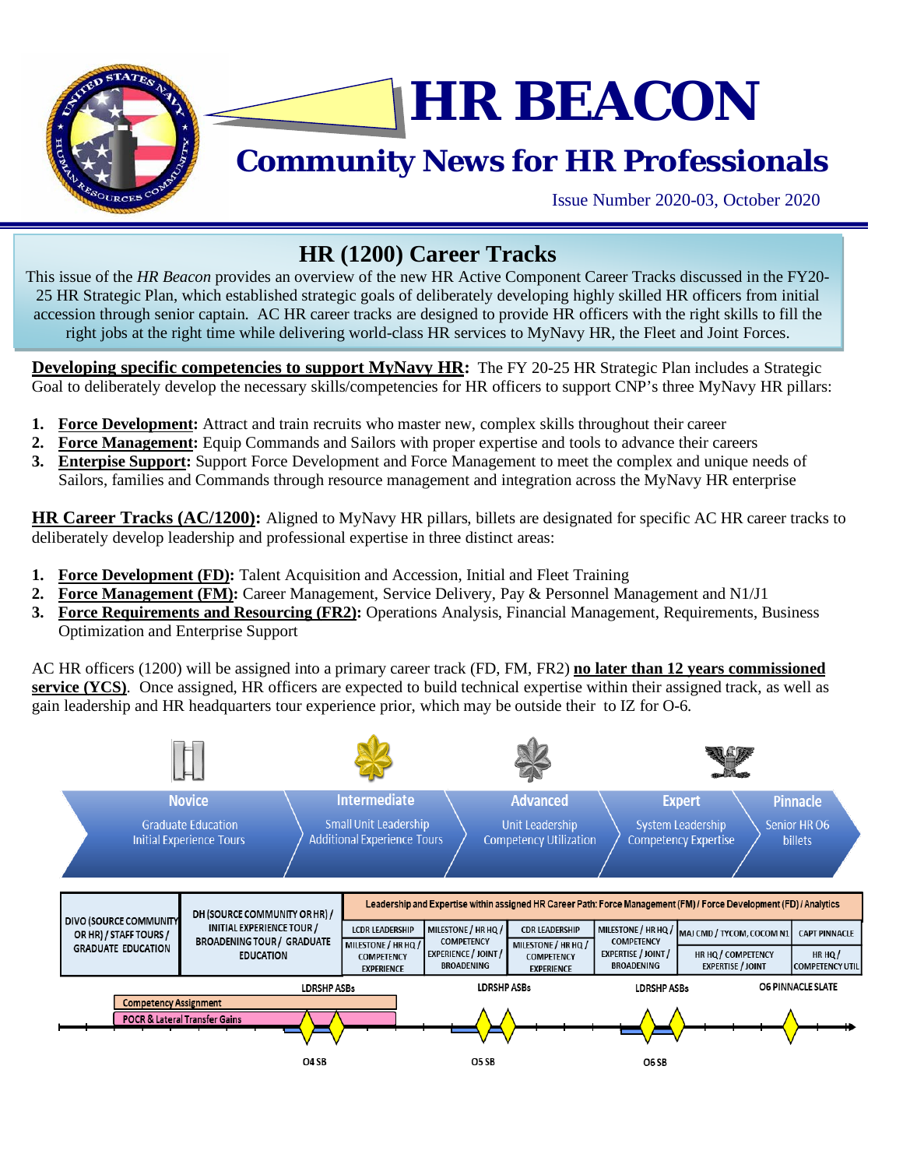

# **HR BEACON**

## **Community News for HR Professionals**

Issue Number 2020-03, October 2020

### **HR (1200) Career Tracks**

This issue of the *HR Beacon* provides an overview of the new HR Active Component Career Tracks discussed in the FY20- 25 HR Strategic Plan, which established strategic goals of deliberately developing highly skilled HR officers from initial accession through senior captain. AC HR career tracks are designed to provide HR officers with the right skills to fill the right jobs at the right time while delivering world-class HR services to MyNavy HR, the Fleet and Joint Forces.

**Developing specific competencies to support MyNavy HR:** The FY 20-25 HR Strategic Plan includes a Strategic Goal to deliberately develop the necessary skills/competencies for HR officers to support CNP's three MyNavy HR pillars:

- **1. Force Development:** Attract and train recruits who master new, complex skills throughout their career
- **2. Force Management:** Equip Commands and Sailors with proper expertise and tools to advance their careers
- **3. Enterpise Support:** Support Force Development and Force Management to meet the complex and unique needs of Sailors, families and Commands through resource management and integration across the MyNavy HR enterprise

**HR Career Tracks (AC/1200):** Aligned to MyNavy HR pillars, billets are designated for specific AC HR career tracks to deliberately develop leadership and professional expertise in three distinct areas:

- **1. Force Development (FD):** Talent Acquisition and Accession, Initial and Fleet Training
- **2. Force Management (FM):** Career Management, Service Delivery, Pay & Personnel Management and N1/J1
- **3. Force Requirements and Resourcing (FR2):** Operations Analysis, Financial Management, Requirements, Business Optimization and Enterprise Support

AC HR officers (1200) will be assigned into a primary career track (FD, FM, FR2) **no later than 12 years commissioned service (YCS)**. Once assigned, HR officers are expected to build technical expertise within their assigned track, as well as gain leadership and HR headquarters tour experience prior, which may be outside their to IZ for O-6.

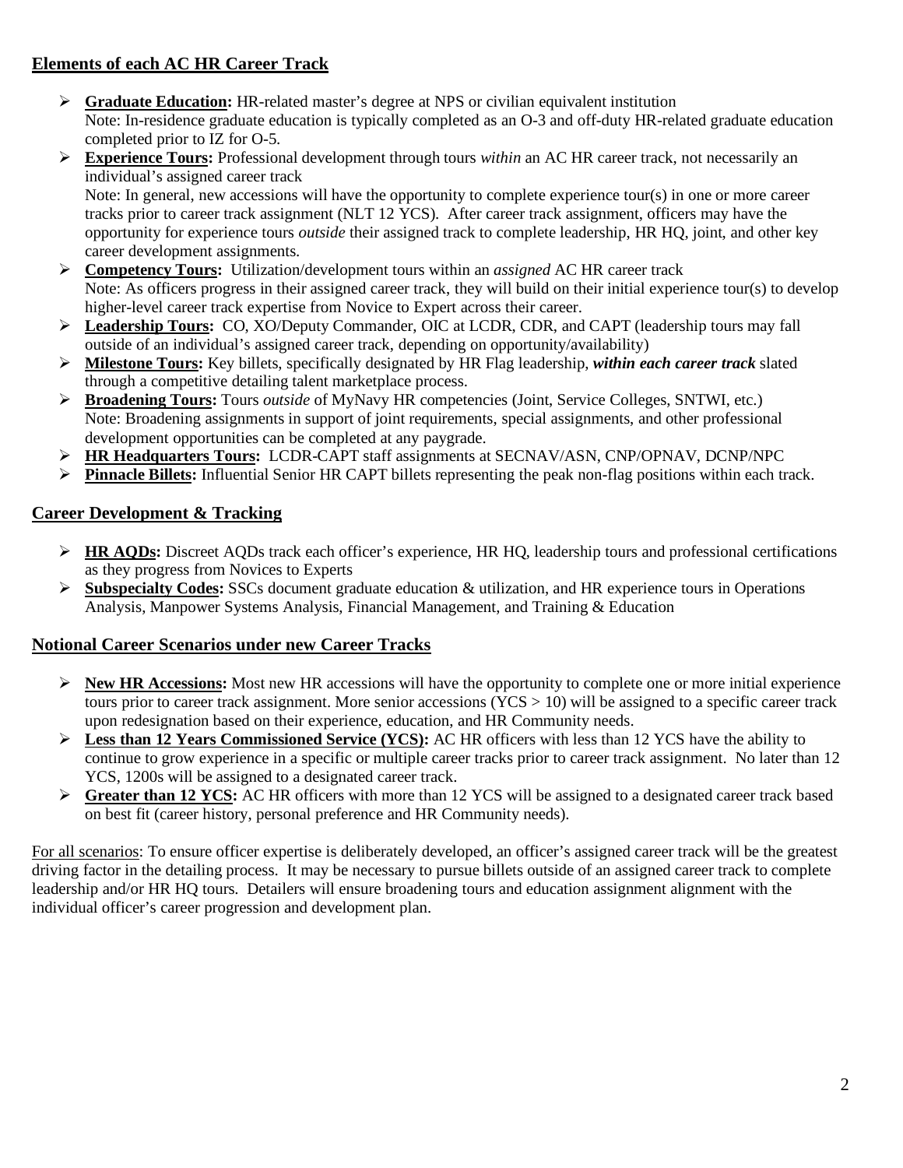#### **Elements of each AC HR Career Track**

- **Graduate Education:** HR-related master's degree at NPS or civilian equivalent institution Note: In-residence graduate education is typically completed as an O-3 and off-duty HR-related graduate education completed prior to IZ for O-5.
- **Experience Tours:** Professional development through tours *within* an AC HR career track, not necessarily an individual's assigned career track

Note: In general, new accessions will have the opportunity to complete experience tour(s) in one or more career tracks prior to career track assignment (NLT 12 YCS). After career track assignment, officers may have the opportunity for experience tours *outside* their assigned track to complete leadership, HR HQ, joint, and other key career development assignments.

- **Competency Tours:** Utilization/development tours within an *assigned* AC HR career track Note: As officers progress in their assigned career track, they will build on their initial experience tour(s) to develop higher-level career track expertise from Novice to Expert across their career.
- **Leadership Tours:** CO, XO/Deputy Commander, OIC at LCDR, CDR, and CAPT (leadership tours may fall outside of an individual's assigned career track, depending on opportunity/availability)
- **Milestone Tours:** Key billets, specifically designated by HR Flag leadership, *within each career track* slated through a competitive detailing talent marketplace process.
- **Broadening Tours:** Tours *outside* of MyNavy HR competencies (Joint, Service Colleges, SNTWI, etc.) Note: Broadening assignments in support of joint requirements, special assignments, and other professional development opportunities can be completed at any paygrade.
- **HR Headquarters Tours:** LCDR-CAPT staff assignments at SECNAV/ASN, CNP/OPNAV, DCNP/NPC
- **Pinnacle Billets:** Influential Senior HR CAPT billets representing the peak non-flag positions within each track.

#### **Career Development & Tracking**

- **HR AQDs:** Discreet AQDs track each officer's experience, HR HQ, leadership tours and professional certifications as they progress from Novices to Experts
- **Subspecialty Codes:** SSCs document graduate education & utilization, and HR experience tours in Operations Analysis, Manpower Systems Analysis, Financial Management, and Training & Education

#### **Notional Career Scenarios under new Career Tracks**

- **New HR Accessions:** Most new HR accessions will have the opportunity to complete one or more initial experience tours prior to career track assignment. More senior accessions  $(YCS > 10)$  will be assigned to a specific career track upon redesignation based on their experience, education, and HR Community needs.
- **Less than 12 Years Commissioned Service (YCS):** AC HR officers with less than 12 YCS have the ability to continue to grow experience in a specific or multiple career tracks prior to career track assignment. No later than 12 YCS, 1200s will be assigned to a designated career track.
- **Greater than 12 YCS:** AC HR officers with more than 12 YCS will be assigned to a designated career track based on best fit (career history, personal preference and HR Community needs).

For all scenarios: To ensure officer expertise is deliberately developed, an officer's assigned career track will be the greatest driving factor in the detailing process. It may be necessary to pursue billets outside of an assigned career track to complete leadership and/or HR HQ tours. Detailers will ensure broadening tours and education assignment alignment with the individual officer's career progression and development plan.